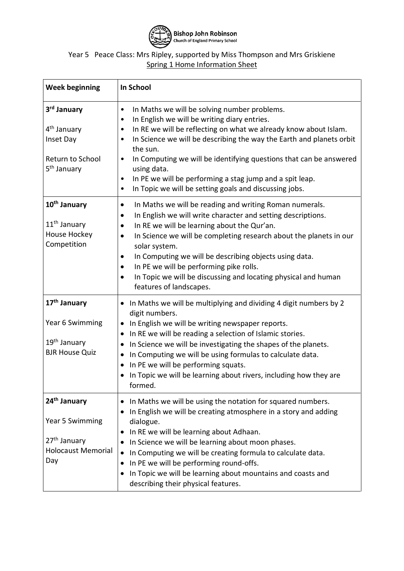

## Year 5 Peace Class: Mrs Ripley, supported by Miss Thompson and Mrs Griskiene Spring 1 Home Information Sheet

| <b>Week beginning</b>                                                                                          | In School                                                                                                                                                                                                                                                                                                                                                                                                                                                                                                                                              |
|----------------------------------------------------------------------------------------------------------------|--------------------------------------------------------------------------------------------------------------------------------------------------------------------------------------------------------------------------------------------------------------------------------------------------------------------------------------------------------------------------------------------------------------------------------------------------------------------------------------------------------------------------------------------------------|
| 3 <sup>rd</sup> January<br>4 <sup>th</sup> January<br>Inset Day<br>Return to School<br>5 <sup>th</sup> January | In Maths we will be solving number problems.<br>٠<br>In English we will be writing diary entries.<br>$\bullet$<br>In RE we will be reflecting on what we already know about Islam.<br>٠<br>In Science we will be describing the way the Earth and planets orbit<br>٠<br>the sun.<br>In Computing we will be identifying questions that can be answered<br>٠<br>using data.<br>In PE we will be performing a stag jump and a spit leap.<br>٠<br>In Topic we will be setting goals and discussing jobs.<br>٠                                             |
| 10 <sup>th</sup> January<br>11 <sup>th</sup> January<br>House Hockey<br>Competition                            | In Maths we will be reading and writing Roman numerals.<br>$\bullet$<br>In English we will write character and setting descriptions.<br>$\bullet$<br>In RE we will be learning about the Qur'an.<br>$\bullet$<br>In Science we will be completing research about the planets in our<br>$\bullet$<br>solar system.<br>In Computing we will be describing objects using data.<br>$\bullet$<br>In PE we will be performing pike rolls.<br>In Topic we will be discussing and locating physical and human<br>$\bullet$<br>features of landscapes.          |
| 17 <sup>th</sup> January<br>Year 6 Swimming<br>19 <sup>th</sup> January<br><b>BJR House Quiz</b>               | In Maths we will be multiplying and dividing 4 digit numbers by 2<br>$\bullet$<br>digit numbers.<br>In English we will be writing newspaper reports.<br>$\bullet$<br>In RE we will be reading a selection of Islamic stories.<br>$\bullet$<br>In Science we will be investigating the shapes of the planets.<br>$\bullet$<br>In Computing we will be using formulas to calculate data.<br>$\bullet$<br>In PE we will be performing squats.<br>$\bullet$<br>In Topic we will be learning about rivers, including how they are<br>formed.                |
| 24 <sup>th</sup> January<br>Year 5 Swimming<br>27 <sup>th</sup> January<br><b>Holocaust Memorial</b><br>Day    | In Maths we will be using the notation for squared numbers.<br>$\bullet$<br>In English we will be creating atmosphere in a story and adding<br>$\bullet$<br>dialogue.<br>In RE we will be learning about Adhaan.<br>$\bullet$<br>In Science we will be learning about moon phases.<br>$\bullet$<br>In Computing we will be creating formula to calculate data.<br>$\bullet$<br>In PE we will be performing round-offs.<br>$\bullet$<br>In Topic we will be learning about mountains and coasts and<br>$\bullet$<br>describing their physical features. |